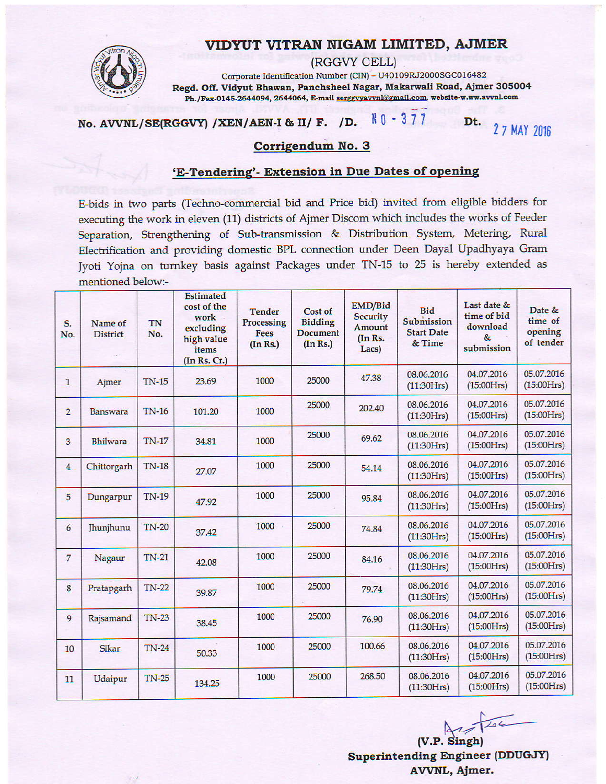## VIDYUT VITRAN NIGAM LIMITED, AJMER



(RGGVY CELL) Corporate Identification Number (CIN) - U40109RJ2000SGC016482 Regd. Off. Vidyut Bhawan, Panchsheel Nagar, Makarwali Road, Ajmer 305004 Ph./Fax-0145-2644094, 2644064, E-mail serggvyavvnl@gmail.com, website-w.ww.avvnl.com

#### $N_0 - 377$ No. AVVNL/SE(RGGVY) /XEN/AEN-I & II/ F. /D.

Dt. 2 7 MAY 2016

### Corrigendum No. 3

### 'E-Tendering'- Extension in Due Dates of opening

E-bids in two parts (Techno-commercial bid and Price bid) invited from eligible bidders for executing the work in eleven (11) districts of Ajmer Discom which includes the works of Feeder Separation, Strengthening of Sub-transmission & Distribution System, Metering, Rural Electrification and providing domestic BPL connection under Deen Dayal Upadhyaya Gram Jyoti Yojna on turnkey basis against Packages under TN-15 to 25 is hereby extended as mentioned below:-

| S.<br>No.      | Name of<br><b>District</b> | TN<br>No.    | <b>Estimated</b><br>cost of the<br>work<br>excluding<br>high value<br>items<br>(In Rs. Cr.) | <b>Tender</b><br>Processing<br>Fees<br>(In Rs.) | Cost of<br><b>Bidding</b><br><b>Document</b><br>(In Rs.) | EMD/Bid<br><b>Security</b><br>Amount<br>(In Rs.<br>Lacs) | <b>Bid</b><br>Submission<br><b>Start Date</b><br>& Time | Last date &<br>time of bid<br>download<br>$\&$<br>submission | Date &<br>time of<br>opening<br>of tender |
|----------------|----------------------------|--------------|---------------------------------------------------------------------------------------------|-------------------------------------------------|----------------------------------------------------------|----------------------------------------------------------|---------------------------------------------------------|--------------------------------------------------------------|-------------------------------------------|
| $\mathbf{1}$   | Ajmer                      | <b>TN-15</b> | 23.69                                                                                       | 1000                                            | 25000                                                    | 47.38                                                    | 08.06.2016<br>(11:30Hrs)                                | 04.07.2016<br>(15:00Hrs)                                     | 05.07.2016<br>(15:00Hrs)                  |
| $\overline{2}$ | Banswara                   | <b>TN-16</b> | 101.20                                                                                      | 1000                                            | 25000                                                    | 202.40                                                   | 08.06.2016<br>(11:30Hrs)                                | 04.07.2016<br>(15:00Hrs)                                     | 05.07.2016<br>(15:00Hrs)                  |
| 3              | <b>Bhilwara</b>            | <b>TN-17</b> | 34.81                                                                                       | 1000                                            | 25000                                                    | 69.62                                                    | 08.06.2016<br>(11:30Hrs)                                | 04.07.2016<br>(15:00Hrs)                                     | 05.07.2016<br>(15:00Hrs)                  |
| $\overline{4}$ | Chittorgarh                | <b>TN-18</b> | 27.07                                                                                       | 1000                                            | 25000                                                    | 54.14                                                    | 08.06.2016<br>(11:30Hrs)                                | 04.07.2016<br>(15:00Hrs)                                     | 05.07.2016<br>(15:00Hrs)                  |
| 5              | Dungarpur                  | <b>TN-19</b> | 47.92                                                                                       | 1000                                            | 25000                                                    | 95.84                                                    | 08.06.2016<br>(11:30Hrs)                                | 04.07.2016<br>(15:00Hrs)                                     | 05.07.2016<br>(15:00Hrs)                  |
| 6              | <b>Jhunjhunu</b>           | <b>TN-20</b> | 37.42                                                                                       | 1000                                            | 25000                                                    | 74.84                                                    | 08.06.2016<br>(11:30Hrs)                                | 04.07.2016<br>(15:00Hrs)                                     | 05.07.2016<br>(15:00Hrs)                  |
| $\overline{7}$ | Nagaur                     | $TN-21$      | 42.08                                                                                       | 1000                                            | 25000                                                    | 84.16                                                    | 08.06.2016<br>(11:30Hrs)                                | 04.07.2016<br>(15:00Hrs)                                     | 05.07.2016<br>(15:00Hrs)                  |
| 8              | Pratapgarh                 | <b>TN-22</b> | 39.87                                                                                       | 1000                                            | 25000                                                    | 79.74                                                    | 08.06.2016<br>(11:30Hrs)                                | 04.07.2016<br>(15:00Hrs)                                     | 05.07.2016<br>(15:00Hrs)                  |
| 9              | Rajsamand                  | <b>TN-23</b> | 38.45                                                                                       | 1000                                            | 25000                                                    | 76.90                                                    | 08.06.2016<br>(11:30Hrs)                                | 04.07.2016<br>(15:00Hrs)                                     | 05.07.2016<br>(15:00Hrs)                  |
| 10             | Sikar                      | $TN-24$      | 50.33                                                                                       | 1000                                            | 25000                                                    | 100.66                                                   | 08.06.2016<br>(11:30Hrs)                                | 04.07.2016<br>(15:00Hrs)                                     | 05.07.2016<br>(15:00Hrs)                  |
| 11             | Udaipur                    | $TN-25$      | 134.25                                                                                      | 1000                                            | 25000                                                    | 268.50                                                   | 08.06.2016<br>(11:30Hrs)                                | 04.07.2016<br>(15:00Hrs)                                     | 05.07.2016<br>(15:00Hrs)                  |

 $41/146$ 

(V.P. Singh) **Superintending Engineer (DDUGJY)** AVVNL, Ajmer.